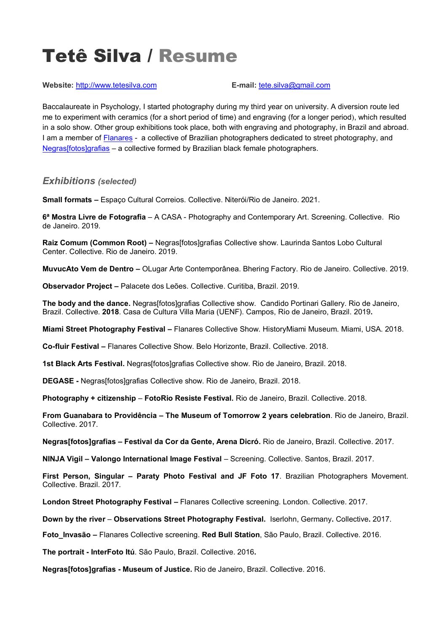# Tetê Silva / Resume

**Website:** [http://www.tetesilva.com](http://www.tetesilva.com/) **E-mail:** [tete.silva@gmail.com](mailto:tete.silva@gmail.com)

Baccalaureate in Psychology, I started photography during my third year on university. A diversion route led me to experiment with ceramics (for a short period of time) and engraving (for a longer period), which resulted in a solo show. Other group exhibitions took place, both with engraving and photography, in Brazil and abroad. I am a member of [Flanares](http://www.flanares.com/) - a collective of Brazilian photographers dedicated to street photography, and [Negras\[fotos\]grafias](https://web.facebook.com/negrasfotosgrafias/) – a collective formed by Brazilian black female photographers.

# *Exhibitions (selected)*

**Small formats –** Espaço Cultural Correios. Collective. Niterói/Rio de Janeiro. 2021.

**6ª Mostra Livre de Fotografia** – A CASA - Photography and Contemporary Art. Screening. Collective. Rio de Janeiro. 2019.

**Raiz Comum (Common Root) –** Negras[fotos]grafias Collective show. Laurinda Santos Lobo Cultural Center. Collective. Rio de Janeiro. 2019.

**MuvucAto Vem de Dentro –** OLugar Arte Contemporânea. Bhering Factory. Rio de Janeiro. Collective. 2019.

**Observador Project –** Palacete dos Leões. Collective. Curitiba, Brazil. 2019.

**The body and the dance.** Negras[fotos]grafias Collective show. Candido Portinari Gallery. Rio de Janeiro, Brazil. Collective. **2018**. Casa de Cultura Villa Maria (UENF). Campos, Rio de Janeiro, Brazil. 2019**.**

**Miami Street Photography Festival –** Flanares Collective Show. HistoryMiami Museum. Miami, USA. 2018.

**Co-fluir Festival –** Flanares Collective Show. Belo Horizonte, Brazil. Collective. 2018.

**1st Black Arts Festival.** Negras[fotos]grafias Collective show. Rio de Janeiro, Brazil. 2018.

**DEGASE -** Negras[fotos]grafias Collective show. Rio de Janeiro, Brazil. 2018.

**Photography + citizenship** – **FotoRio Resiste Festival.** Rio de Janeiro, Brazil. Collective. 2018.

**From Guanabara to Providência** *–* **The Museum of Tomorrow 2 years celebration**. Rio de Janeiro, Brazil. Collective. 2017.

**Negras[fotos]grafias – Festival da Cor da Gente, Arena Dicró.** Rio de Janeiro, Brazil. Collective. 2017.

**NINJA Vigil – Valongo International Image Festival** – Screening. Collective. Santos, Brazil. 2017.

**First Person, Singular – Paraty Photo Festival and JF Foto 17**. Brazilian Photographers Movement. Collective. Brazil. 2017.

**London Street Photography Festival –** Flanares Collective screening. London. Collective. 2017.

**Down by the river** – **Observations Street Photography Festival.** Iserlohn, Germany**.** Collective**.** 2017.

**Foto\_Invasão –** Flanares Collective screening. **Red Bull Station**, São Paulo, Brazil. Collective. 2016.

**The portrait - InterFoto Itú**. São Paulo, Brazil. Collective. 2016**.**

**Negras[fotos]grafias - Museum of Justice.** Rio de Janeiro, Brazil. Collective. 2016.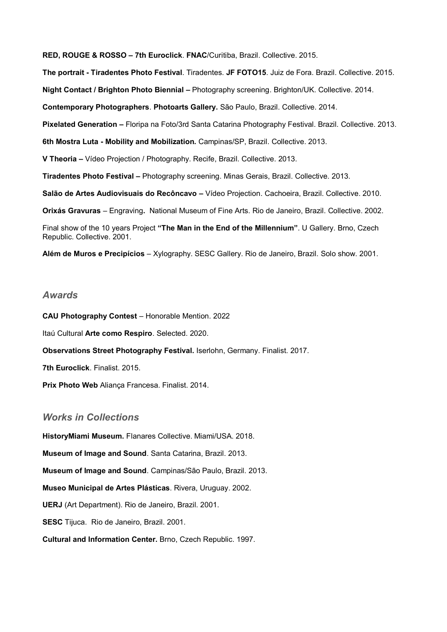**RED, ROUGE & ROSSO – 7th Euroclick**. **FNAC**/Curitiba, Brazil. Collective. 2015. **The portrait - Tiradentes Photo Festival**. Tiradentes. **JF FOTO15**. Juiz de Fora. Brazil. Collective. 2015. **Night Contact / Brighton Photo Biennial –** Photography screening. Brighton/UK. Collective. 2014. **Contemporary Photographers**. **Photoarts Gallery.** São Paulo, Brazil. Collective. 2014. **Pixelated Generation –** Floripa na Foto/3rd Santa Catarina Photography Festival. Brazil. Collective. 2013. **6th Mostra Luta - Mobility and Mobilization.** Campinas/SP, Brazil. Collective. 2013. **V Theoria –** Vídeo Projection / Photography. Recife, Brazil. Collective. 2013. **Tiradentes Photo Festival –** Photography screening. Minas Gerais, Brazil. Collective. 2013. **Salão de Artes Audiovisuais do Recôncavo –** Vídeo Projection. Cachoeira, Brazil. Collective. 2010. **Orixás Gravuras** – Engraving**.** National Museum of Fine Arts. Rio de Janeiro, Brazil. Collective. 2002. Final show of the 10 years Project **"The Man in the End of the Millennium"**. U Gallery. Brno, Czech Republic. Collective. 2001.

**Além de Muros e Precipícios** – Xylography. SESC Gallery. Rio de Janeiro, Brazil. Solo show. 2001.

#### *Awards*

**CAU Photography Contest** – Honorable Mention. 2022 Itaú Cultural **Arte como Respiro**. Selected. 2020. **Observations Street Photography Festival.** Iserlohn, Germany. Finalist. 2017. **7th Euroclick**. Finalist. 2015. **Prix Photo Web** Aliança Francesa. Finalist. 2014.

## *Works in Collections*

**HistoryMiami Museum.** Flanares Collective. Miami/USA. 2018. **Museum of Image and Sound**. Santa Catarina, Brazil. 2013. **Museum of Image and Sound**. Campinas/São Paulo, Brazil. 2013. **Museo Municipal de Artes Plásticas**. Rivera, Uruguay. 2002. **UERJ** (Art Department). Rio de Janeiro, Brazil. 2001. **SESC** Tijuca. Rio de Janeiro, Brazil. 2001. **Cultural and Information Center.** Brno, Czech Republic. 1997.